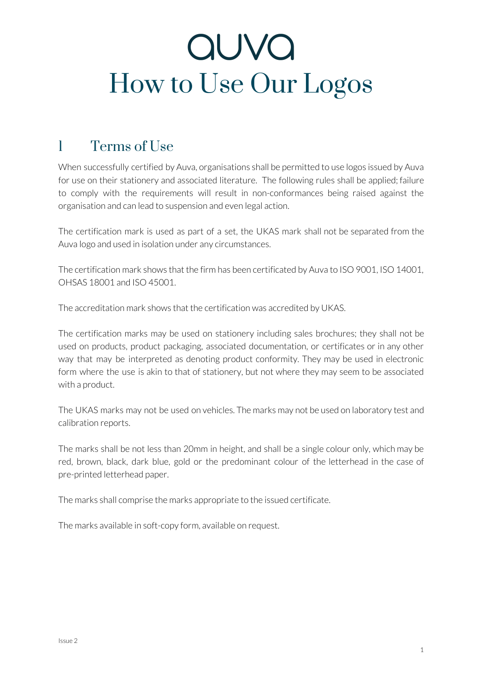#### 1 Terms of Use

When successfully certified by Auva, organisations shall be permitted to use logos issued by Auva for use on their stationery and associated literature. The following rules shall be applied; failure to comply with the requirements will result in non-conformances being raised against the organisation and can lead to suspension and even legal action.

The certification mark is used as part of a set, the UKAS mark shall not be separated from the Auva logo and used in isolation under any circumstances.

The certification mark shows that the firm has been certificated by Auva to ISO 9001, ISO 14001, OHSAS 18001 and ISO 45001.

The accreditation mark shows that the certification was accredited by UKAS.

The certification marks may be used on stationery including sales brochures; they shall not be used on products, product packaging, associated documentation, or certificates or in any other way that may be interpreted as denoting product conformity. They may be used in electronic form where the use is akin to that of stationery, but not where they may seem to be associated with a product.

The UKAS marks may not be used on vehicles. The marks may not be used on laboratory test and calibration reports.

The marks shall be not less than 20mm in height, and shall be a single colour only, which may be red, brown, black, dark blue, gold or the predominant colour of the letterhead in the case of pre-printed letterhead paper.

The marks shall comprise the marks appropriate to the issued certificate.

The marks available in soft-copy form, available on request.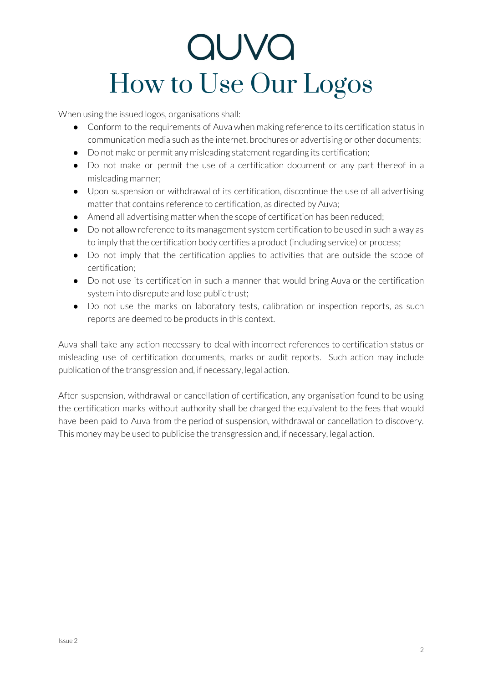# auva How to Use Our Logos

When using the issued logos, organisations shall:

- Conform to the requirements of Auva when making reference to its certification status in communication media such as the internet, brochures or advertising or other documents;
- Do not make or permit any misleading statement regarding its certification;
- Do not make or permit the use of a certification document or any part thereof in a misleading manner;
- Upon suspension or withdrawal of its certification, discontinue the use of all advertising matter that contains reference to certification, as directed by Auva;
- Amend all advertising matter when the scope of certification has been reduced;
- Do not allow reference to its management system certification to be used in such a way as to imply that the certification body certifies a product (including service) or process;
- Do not imply that the certification applies to activities that are outside the scope of certification;
- Do not use its certification in such a manner that would bring Auva or the certification system into disrepute and lose public trust;
- Do not use the marks on laboratory tests, calibration or inspection reports, as such reports are deemed to be products in this context.

Auva shall take any action necessary to deal with incorrect references to certification status or misleading use of certification documents, marks or audit reports. Such action may include publication of the transgression and, if necessary, legal action.

After suspension, withdrawal or cancellation of certification, any organisation found to be using the certification marks without authority shall be charged the equivalent to the fees that would have been paid to Auva from the period of suspension, withdrawal or cancellation to discovery. This money may be used to publicise the transgression and, if necessary, legal action.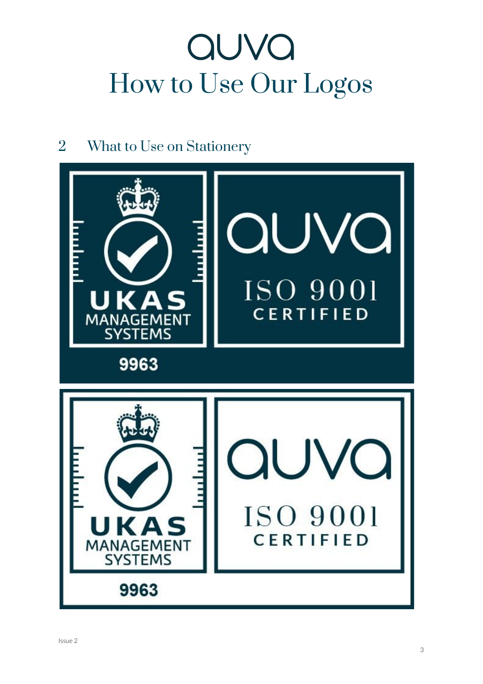#### 2 What to Use on Stationery

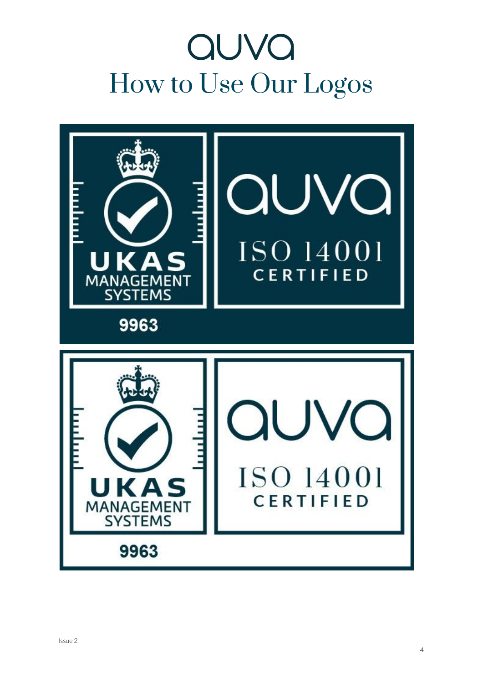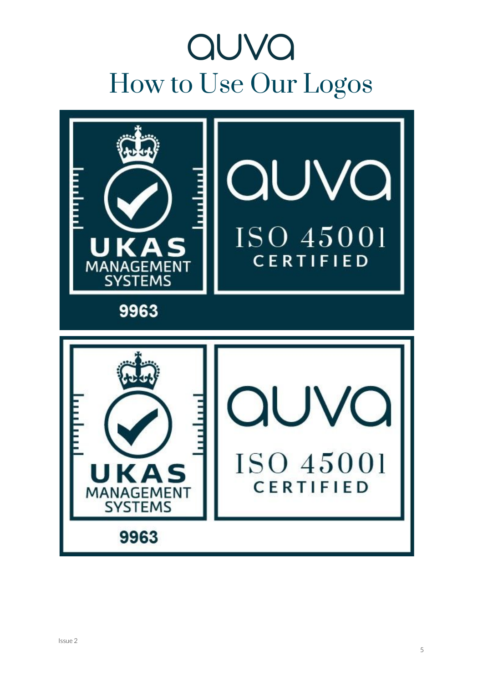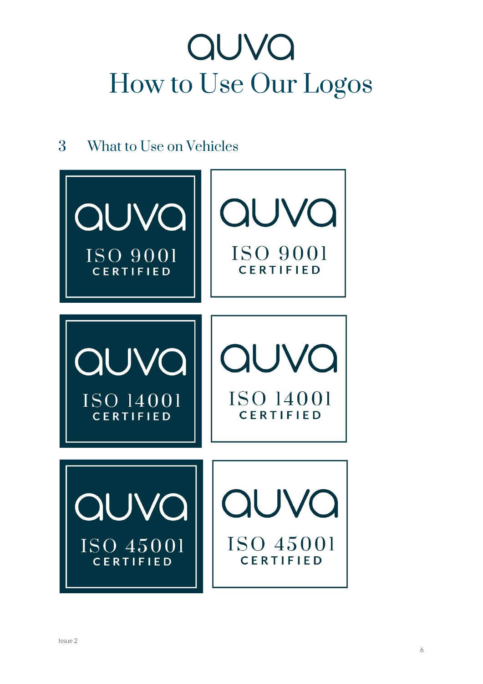#### 3 What to Use on Vehicles